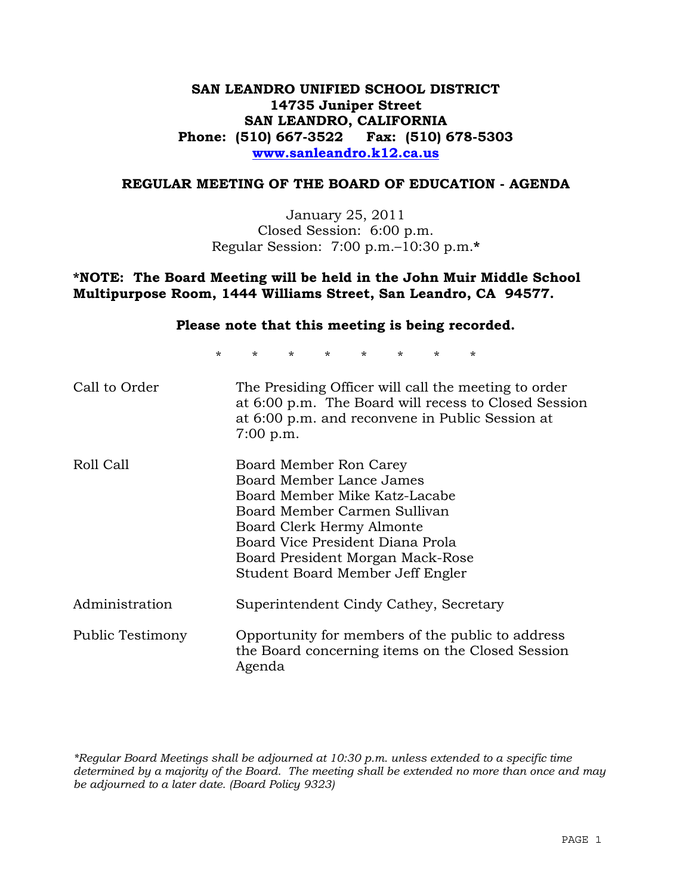## **SAN LEANDRO UNIFIED SCHOOL DISTRICT 14735 Juniper Street SAN LEANDRO, CALIFORNIA Phone: (510) 667-3522 Fax: (510) 678-5303 www.sanleandro.k12.ca.us**

#### **REGULAR MEETING OF THE BOARD OF EDUCATION - AGENDA**

January 25, 2011 Closed Session: 6:00 p.m. Regular Session: 7:00 p.m.–10:30 p.m.**\***

#### **\*NOTE: The Board Meeting will be held in the John Muir Middle School Multipurpose Room, 1444 Williams Street, San Leandro, CA 94577.**

#### **Please note that this meeting is being recorded.**

\* \* \* \* \* \* \* \*

| Call to Order    | The Presiding Officer will call the meeting to order<br>at 6:00 p.m. The Board will recess to Closed Session<br>at 6:00 p.m. and reconvene in Public Session at<br>$7:00$ p.m.                                                                               |
|------------------|--------------------------------------------------------------------------------------------------------------------------------------------------------------------------------------------------------------------------------------------------------------|
| Roll Call        | Board Member Ron Carey<br>Board Member Lance James<br>Board Member Mike Katz-Lacabe<br>Board Member Carmen Sullivan<br>Board Clerk Hermy Almonte<br>Board Vice President Diana Prola<br>Board President Morgan Mack-Rose<br>Student Board Member Jeff Engler |
| Administration   | Superintendent Cindy Cathey, Secretary                                                                                                                                                                                                                       |
| Public Testimony | Opportunity for members of the public to address<br>the Board concerning items on the Closed Session<br>Agenda                                                                                                                                               |

*\*Regular Board Meetings shall be adjourned at 10:30 p.m. unless extended to a specific time determined by a majority of the Board. The meeting shall be extended no more than once and may be adjourned to a later date. (Board Policy 9323)*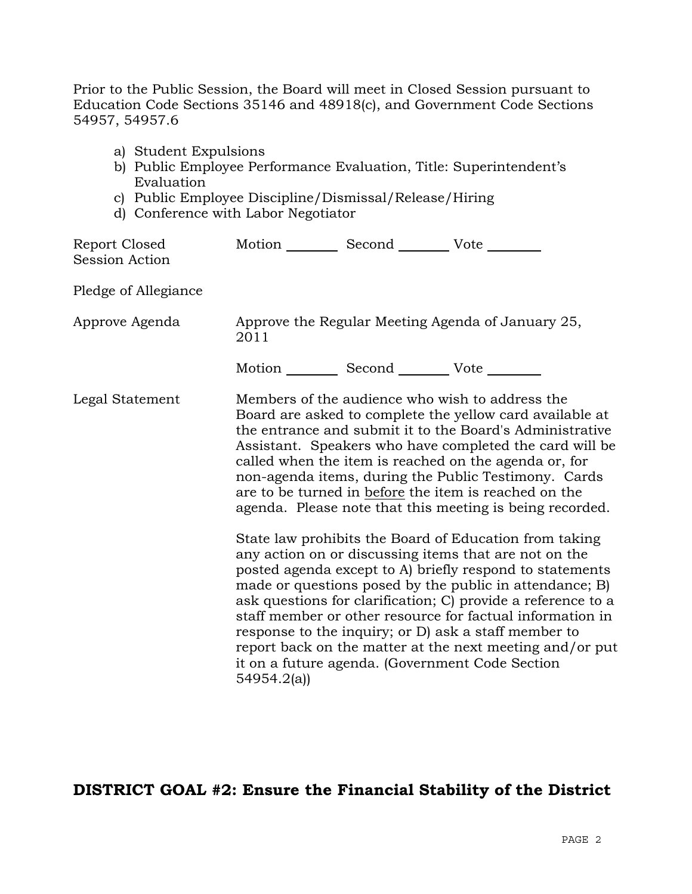Prior to the Public Session, the Board will meet in Closed Session pursuant to Education Code Sections 35146 and 48918(c), and Government Code Sections 54957, 54957.6

- a) Student Expulsions
- b) Public Employee Performance Evaluation, Title: Superintendent's Evaluation
- c) Public Employee Discipline/Dismissal/Release/Hiring
- d) Conference with Labor Negotiator

| Report Closed<br>Session Action | Motion __________ Second __________ Vote ________     |                                                                                                                                                                                                                                                                                                                                                                                                                                                                                                                                            |
|---------------------------------|-------------------------------------------------------|--------------------------------------------------------------------------------------------------------------------------------------------------------------------------------------------------------------------------------------------------------------------------------------------------------------------------------------------------------------------------------------------------------------------------------------------------------------------------------------------------------------------------------------------|
| Pledge of Allegiance            |                                                       |                                                                                                                                                                                                                                                                                                                                                                                                                                                                                                                                            |
| Approve Agenda                  | 2011                                                  | Approve the Regular Meeting Agenda of January 25,                                                                                                                                                                                                                                                                                                                                                                                                                                                                                          |
|                                 | Motion ___________ Second ____________ Vote _________ |                                                                                                                                                                                                                                                                                                                                                                                                                                                                                                                                            |
| Legal Statement                 |                                                       | Members of the audience who wish to address the<br>Board are asked to complete the yellow card available at<br>the entrance and submit it to the Board's Administrative<br>Assistant. Speakers who have completed the card will be<br>called when the item is reached on the agenda or, for<br>non-agenda items, during the Public Testimony. Cards<br>are to be turned in before the item is reached on the<br>agenda. Please note that this meeting is being recorded.                                                                   |
|                                 | 54954.2(a)                                            | State law prohibits the Board of Education from taking<br>any action on or discussing items that are not on the<br>posted agenda except to A) briefly respond to statements<br>made or questions posed by the public in attendance; B)<br>ask questions for clarification; C) provide a reference to a<br>staff member or other resource for factual information in<br>response to the inquiry; or D) ask a staff member to<br>report back on the matter at the next meeting and/or put<br>it on a future agenda. (Government Code Section |

# **DISTRICT GOAL #2: Ensure the Financial Stability of the District**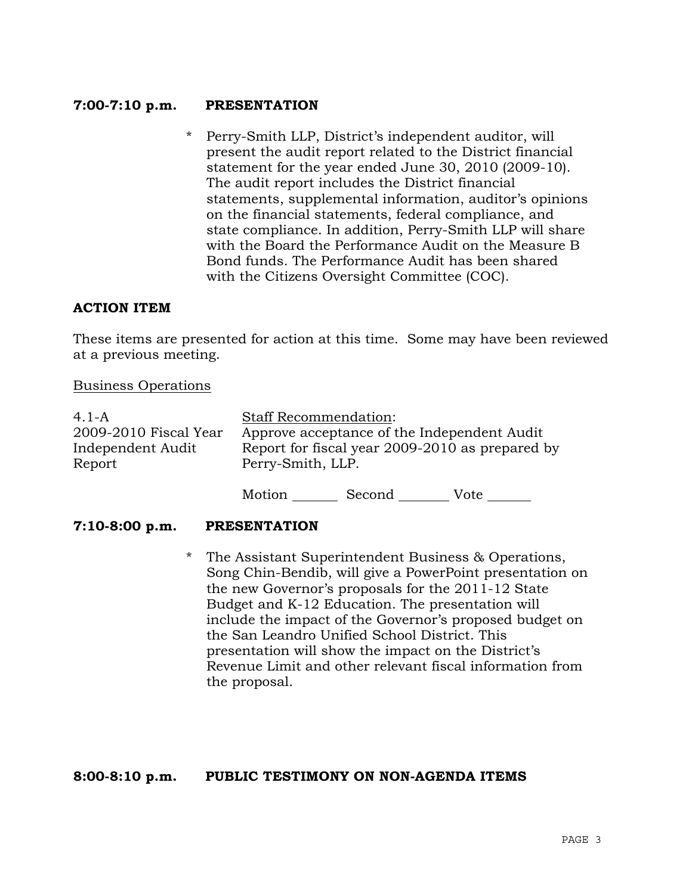### **7:00-7:10 p.m. PRESENTATION**

\* Perry-Smith LLP, District's independent auditor, will present the audit report related to the District financial statement for the year ended June 30, 2010 (2009-10). The audit report includes the District financial statements, supplemental information, auditor's opinions on the financial statements, federal compliance, and state compliance. In addition, Perry-Smith LLP will share with the Board the Performance Audit on the Measure B Bond funds. The Performance Audit has been shared with the Citizens Oversight Committee (COC).

#### **ACTION ITEM**

These items are presented for action at this time. Some may have been reviewed at a previous meeting.

#### Business Operations

| 4.1-A                 | <b>Staff Recommendation:</b>                    |
|-----------------------|-------------------------------------------------|
| 2009-2010 Fiscal Year | Approve acceptance of the Independent Audit     |
| Independent Audit     | Report for fiscal year 2009-2010 as prepared by |
| Report                | Perry-Smith, LLP.                               |
|                       |                                                 |

Motion Second Vote

#### **7:10-8:00 p.m. PRESENTATION**

\* The Assistant Superintendent Business & Operations, Song Chin-Bendib, will give a PowerPoint presentation on the new Governor's proposals for the 2011-12 State Budget and K-12 Education. The presentation will include the impact of the Governor's proposed budget on the San Leandro Unified School District. This presentation will show the impact on the District's Revenue Limit and other relevant fiscal information from the proposal.

#### **8:00-8:10 p.m. PUBLIC TESTIMONY ON NON-AGENDA ITEMS**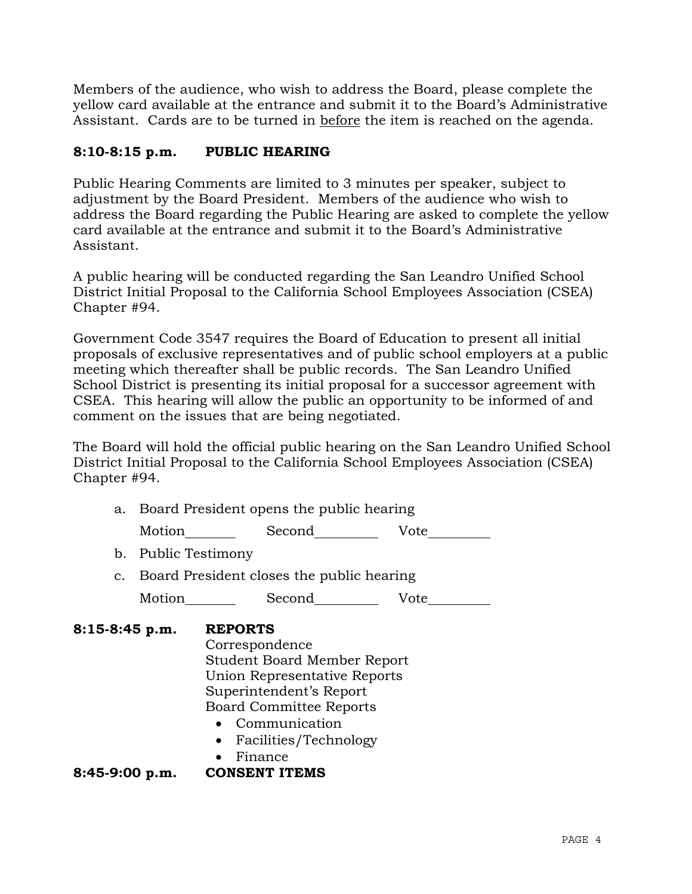Members of the audience, who wish to address the Board, please complete the yellow card available at the entrance and submit it to the Board's Administrative Assistant. Cards are to be turned in before the item is reached on the agenda.

## **8:10-8:15 p.m. PUBLIC HEARING**

Public Hearing Comments are limited to 3 minutes per speaker, subject to adjustment by the Board President. Members of the audience who wish to address the Board regarding the Public Hearing are asked to complete the yellow card available at the entrance and submit it to the Board's Administrative Assistant.

A public hearing will be conducted regarding the San Leandro Unified School District Initial Proposal to the California School Employees Association (CSEA) Chapter #94.

Government Code 3547 requires the Board of Education to present all initial proposals of exclusive representatives and of public school employers at a public meeting which thereafter shall be public records. The San Leandro Unified School District is presenting its initial proposal for a successor agreement with CSEA. This hearing will allow the public an opportunity to be informed of and comment on the issues that are being negotiated.

The Board will hold the official public hearing on the San Leandro Unified School District Initial Proposal to the California School Employees Association (CSEA) Chapter #94.

a. Board President opens the public hearing

Motion Second Vote

- b. Public Testimony
- c. Board President closes the public hearing

Motion Second Vote

## **8:15-8:45 p.m. REPORTS** Correspondence Student Board Member Report Union Representative Reports Superintendent's Report Board Committee Reports Communication Facilities/Technology Finance **8:45-9:00 p.m. CONSENT ITEMS**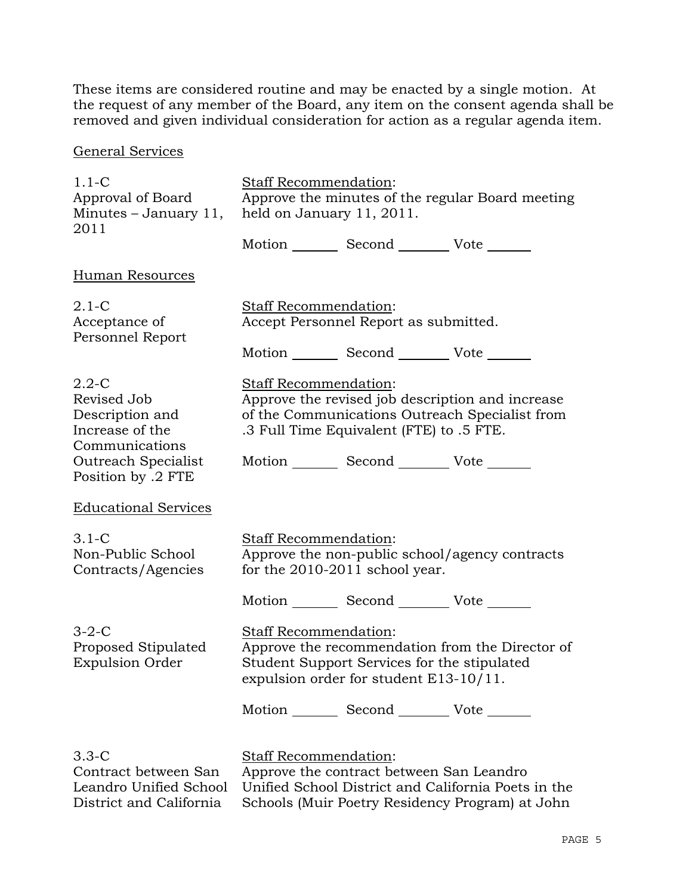These items are considered routine and may be enacted by a single motion. At the request of any member of the Board, any item on the consent agenda shall be removed and given individual consideration for action as a regular agenda item.

## General Services

| $1.1 - C$                                                                                                                     | Staff Recommendation:                                                                                                                                                                                                      |  |
|-------------------------------------------------------------------------------------------------------------------------------|----------------------------------------------------------------------------------------------------------------------------------------------------------------------------------------------------------------------------|--|
| Approval of Board<br>Minutes - January 11,                                                                                    | Approve the minutes of the regular Board meeting<br>held on January 11, 2011.                                                                                                                                              |  |
| 2011                                                                                                                          |                                                                                                                                                                                                                            |  |
|                                                                                                                               | Motion _________ Second __________ Vote _______                                                                                                                                                                            |  |
| Human Resources                                                                                                               |                                                                                                                                                                                                                            |  |
| $2.1-C$<br>Acceptance of<br>Personnel Report                                                                                  | Staff Recommendation:<br>Accept Personnel Report as submitted.                                                                                                                                                             |  |
|                                                                                                                               | Motion _________ Second ___________ Vote _______                                                                                                                                                                           |  |
| $2.2 - C$<br>Revised Job<br>Description and<br>Increase of the<br>Communications<br>Outreach Specialist<br>Position by .2 FTE | Staff Recommendation:<br>Approve the revised job description and increase<br>of the Communications Outreach Specialist from<br>.3 Full Time Equivalent (FTE) to .5 FTE.<br>Motion _________ Second __________ Vote _______ |  |
| <b>Educational Services</b>                                                                                                   |                                                                                                                                                                                                                            |  |
| $3.1-C$<br>Non-Public School<br>Contracts/Agencies                                                                            | Staff Recommendation:<br>Approve the non-public school/agency contracts<br>for the 2010-2011 school year.                                                                                                                  |  |
|                                                                                                                               | Motion Second Vote                                                                                                                                                                                                         |  |
| $3-2-C$<br>Proposed Stipulated<br><b>Expulsion Order</b>                                                                      | Staff Recommendation:<br>Approve the recommendation from the Director of<br>Student Support Services for the stipulated<br>expulsion order for student E13-10/11.                                                          |  |
|                                                                                                                               | Motion _________ Second __________ Vote _______                                                                                                                                                                            |  |
| $3.3-C$<br>Contract between San<br>Leandro Unified School<br>District and California                                          | Staff Recommendation:<br>Approve the contract between San Leandro<br>Unified School District and California Poets in the<br>Schools (Muir Poetry Residency Program) at John                                                |  |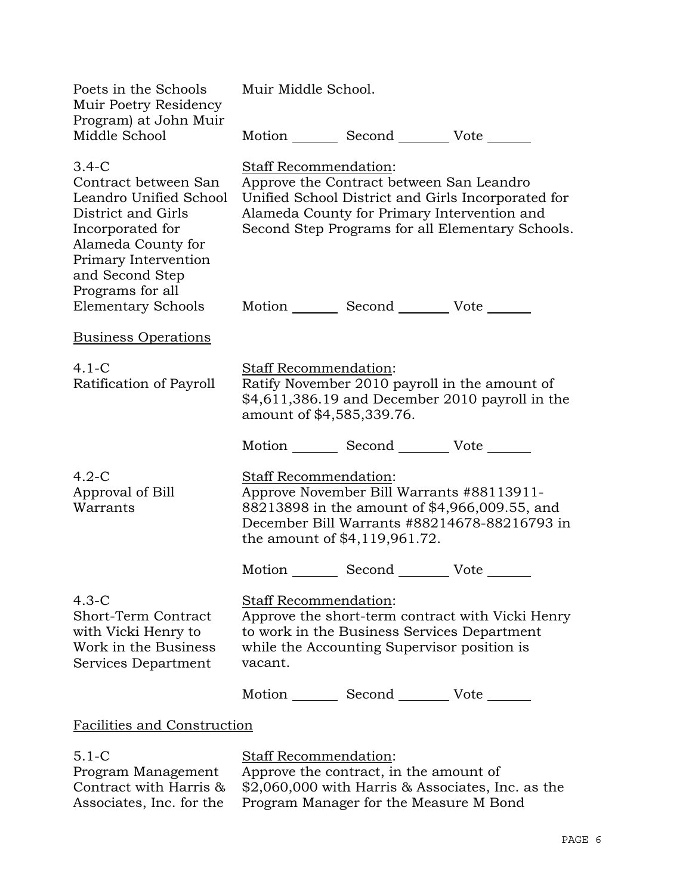| Poets in the Schools<br>Muir Poetry Residency<br>Program) at John Muir                                                                                                                   | Muir Middle School.                                |                                                                                            |                                                                                                        |
|------------------------------------------------------------------------------------------------------------------------------------------------------------------------------------------|----------------------------------------------------|--------------------------------------------------------------------------------------------|--------------------------------------------------------------------------------------------------------|
| Middle School                                                                                                                                                                            |                                                    | Motion _________ Second __________ Vote _______                                            |                                                                                                        |
| $3.4-C$<br>Contract between San<br>Leandro Unified School<br>District and Girls<br>Incorporated for<br>Alameda County for<br>Primary Intervention<br>and Second Step<br>Programs for all | Staff Recommendation:                              | Approve the Contract between San Leandro<br>Alameda County for Primary Intervention and    | Unified School District and Girls Incorporated for<br>Second Step Programs for all Elementary Schools. |
| Elementary Schools                                                                                                                                                                       |                                                    | Motion _________ Second __________ Vote _______                                            |                                                                                                        |
| <b>Business Operations</b>                                                                                                                                                               |                                                    |                                                                                            |                                                                                                        |
| $4.1-C$<br>Ratification of Payroll                                                                                                                                                       | Staff Recommendation:<br>amount of \$4,585,339.76. |                                                                                            | Ratify November 2010 payroll in the amount of<br>\$4,611,386.19 and December 2010 payroll in the       |
|                                                                                                                                                                                          |                                                    | Motion _________ Second _________ Vote _______                                             |                                                                                                        |
| $4.2-C$<br>Approval of Bill<br>Warrants                                                                                                                                                  | <b>Staff Recommendation:</b>                       | Approve November Bill Warrants #88113911-<br>the amount of \$4,119,961.72.                 | 88213898 in the amount of \$4,966,009.55, and<br>December Bill Warrants #88214678-88216793 in          |
|                                                                                                                                                                                          |                                                    | Motion _________ Second _________ Vote _______                                             |                                                                                                        |
| $4.3-C$<br>Short-Term Contract<br>with Vicki Henry to<br>Work in the Business<br>Services Department                                                                                     | Staff Recommendation:<br>vacant.                   | to work in the Business Services Department<br>while the Accounting Supervisor position is | Approve the short-term contract with Vicki Henry                                                       |
|                                                                                                                                                                                          |                                                    | Motion _________ Second __________ Vote _______                                            |                                                                                                        |
| <b>Facilities and Construction</b>                                                                                                                                                       |                                                    |                                                                                            |                                                                                                        |
| $5.1 - C$<br>Program Management<br>Contract with Harris &<br>Associates, Inc. for the                                                                                                    | Staff Recommendation:                              | Approve the contract, in the amount of<br>Program Manager for the Measure M Bond           | $$2,060,000$ with Harris & Associates, Inc. as the                                                     |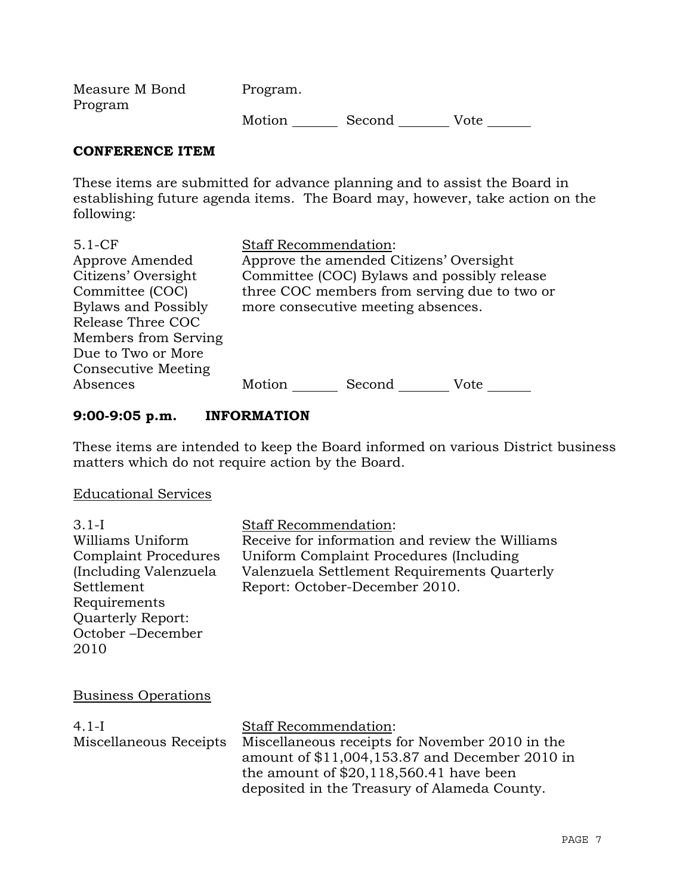Measure M Bond Program Program. Motion Second Vote

#### **CONFERENCE ITEM**

These items are submitted for advance planning and to assist the Board in establishing future agenda items. The Board may, however, take action on the following:

| $5.1-CF$                   | <b>Staff Recommendation:</b>                 |
|----------------------------|----------------------------------------------|
| Approve Amended            | Approve the amended Citizens' Oversight      |
| Citizens' Oversight        | Committee (COC) Bylaws and possibly release  |
| Committee (COC)            | three COC members from serving due to two or |
| <b>Bylaws and Possibly</b> | more consecutive meeting absences.           |
| Release Three COC          |                                              |
| Members from Serving       |                                              |
| Due to Two or More         |                                              |
| <b>Consecutive Meeting</b> |                                              |
| Absences                   | Motion<br>Second<br>Vote                     |

## **9:00-9:05 p.m. INFORMATION**

These items are intended to keep the Board informed on various District business matters which do not require action by the Board.

#### Educational Services

3.1-I Williams Uniform Complaint Procedures (Including Valenzuela Settlement Requirements Quarterly Report: October –December 2010 Staff Recommendation: Receive for information and review the Williams Uniform Complaint Procedures (Including Valenzuela Settlement Requirements Quarterly Report: October-December 2010.

## Business Operations

4.1-I Miscellaneous Receipts Staff Recommendation: Miscellaneous receipts for November 2010 in the amount of \$11,004,153.87 and December 2010 in the amount of \$20,118,560.41 have been deposited in the Treasury of Alameda County.